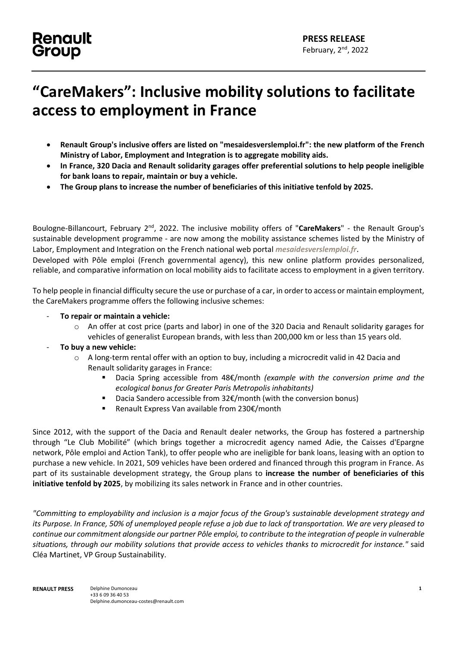## **Renault** Group

## **"CareMakers": Inclusive mobility solutions to facilitate access to employment in France**

- **Renault Group's inclusive offers are listed on "mesaidesverslemploi.fr": the new platform of the French Ministry of Labor, Employment and Integration is to aggregate mobility aids.**
- **In France, 320 Dacia and Renault solidarity garages offer preferential solutions to help people ineligible for bank loans to repair, maintain or buy a vehicle.**
- **The Group plans to increase the number of beneficiaries of this initiative tenfold by 2025.**

Boulogne-Billancourt, February 2<sup>nd</sup>, 2022. The inclusive mobility offers of "CareMakers" - the Renault Group's sustainable development programme - are now among the mobility assistance schemes listed by the Ministry of Labor, Employment and Integration on the French national web portal *mesaidesverslemploi.fr*.

Developed with Pôle emploi (French governmental agency), this new online platform provides personalized, reliable, and comparative information on local mobility aids to facilitate access to employment in a given territory.

To help people in financial difficulty secure the use or purchase of a car, in order to access or maintain employment, the CareMakers programme offers the following inclusive schemes:

- **To repair or maintain a vehicle:**
	- o An offer at cost price (parts and labor) in one of the 320 Dacia and Renault solidarity garages for vehicles of generalist European brands, with less than 200,000 km or less than 15 years old.
- **To buy a new vehicle:**
	- o A long-term rental offer with an option to buy, including a microcredit valid in 42 Dacia and Renault solidarity garages in France:
		- Dacia Spring accessible from 48€/month *(example with the conversion prime and the ecological bonus for Greater Paris Metropolis inhabitants)*
		- Dacia Sandero accessible from 32€/month (with the conversion bonus)
		- Renault Express Van available from 230€/month

Since 2012, with the support of the Dacia and Renault dealer networks, the Group has fostered a partnership through "Le Club Mobilité" (which brings together a microcredit agency named Adie, the Caisses d'Epargne network, Pôle emploi and Action Tank), to offer people who are ineligible for bank loans, leasing with an option to purchase a new vehicle. In 2021, 509 vehicles have been ordered and financed through this program in France. As part of its sustainable development strategy, the Group plans to **increase the number of beneficiaries of this initiative tenfold by 2025**, by mobilizing its sales network in France and in other countries.

*"Committing to employability and inclusion is a major focus of the Group's sustainable development strategy and its Purpose. In France, 50% of unemployed people refuse a job due to lack of transportation. We are very pleased to continue our commitment alongside our partner Pôle emploi, to contribute to the integration of people in vulnerable situations, through our mobility solutions that provide access to vehicles thanks to microcredit for instance."* said Cléa Martinet, VP Group Sustainability.